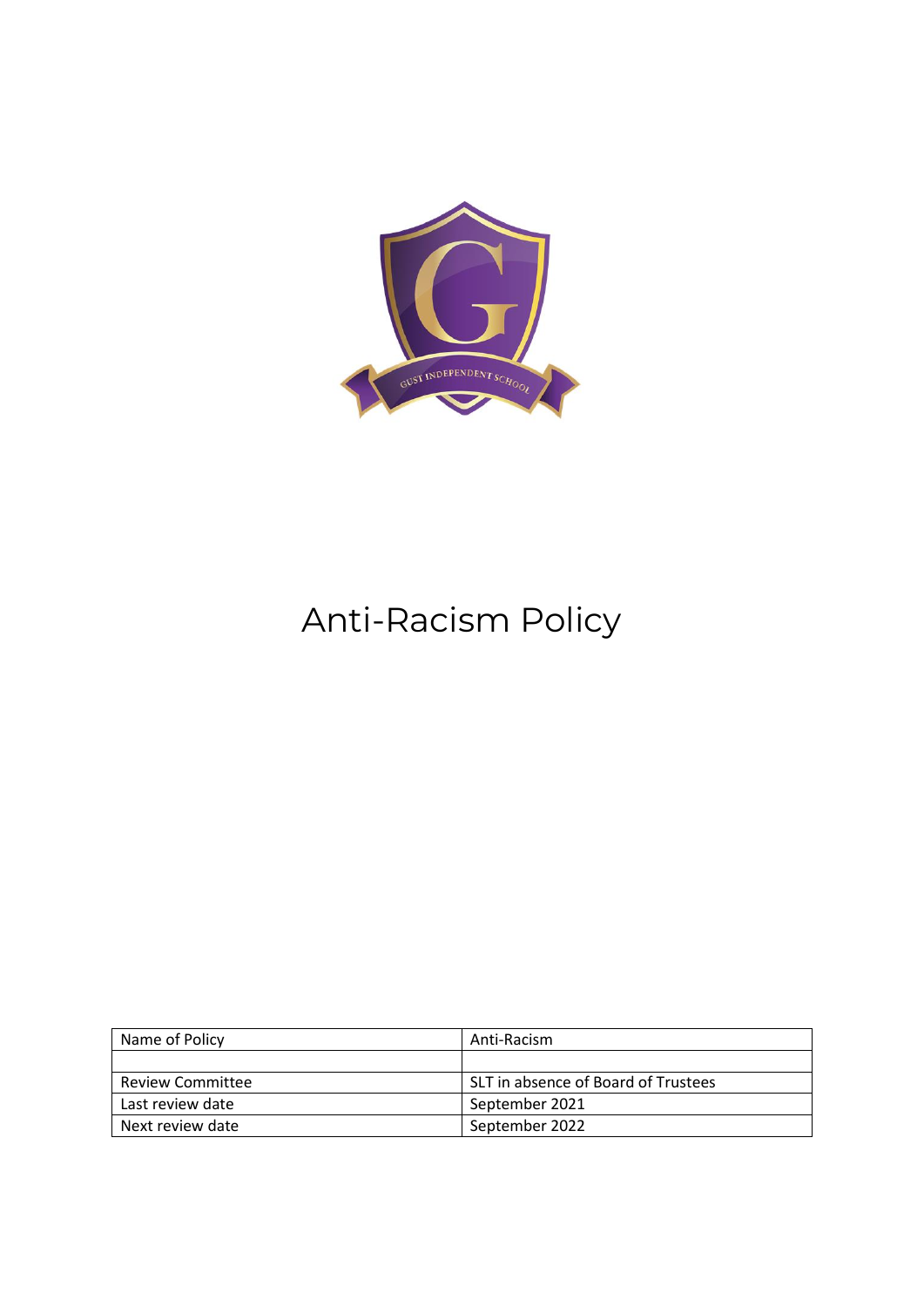

# Anti-Racism Policy

| Name of Policy          | Anti-Racism                         |
|-------------------------|-------------------------------------|
|                         |                                     |
| <b>Review Committee</b> | SLT in absence of Board of Trustees |
| Last review date        | September 2021                      |
| Next review date        | September 2022                      |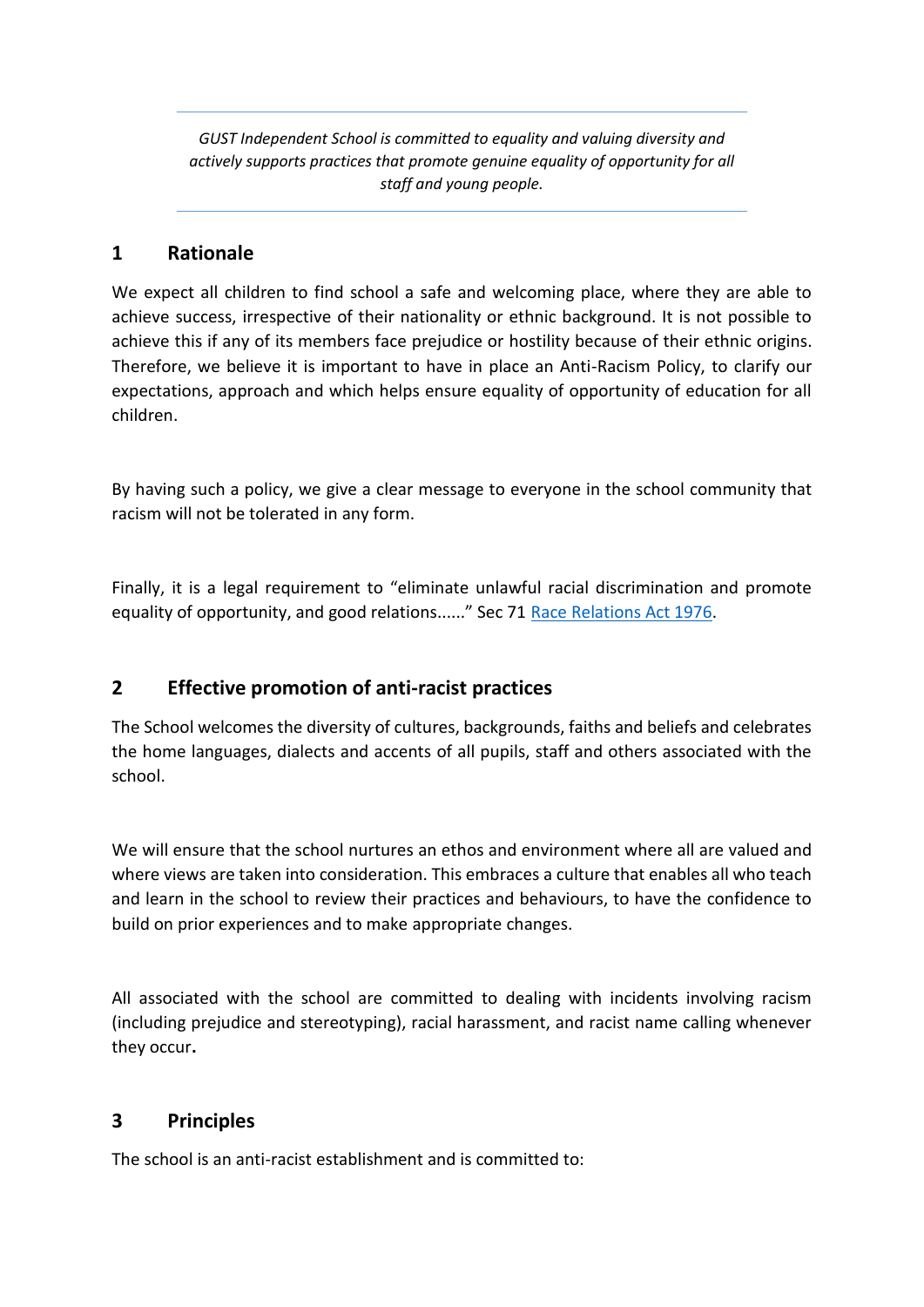*GUST Independent School is committed to equality and valuing diversity and actively supports practices that promote genuine equality of opportunity for all staff and young people.*

## **1 Rationale**

We expect all children to find school a safe and welcoming place, where they are able to achieve success, irrespective of their nationality or ethnic background. It is not possible to achieve this if any of its members face prejudice or hostility because of their ethnic origins. Therefore, we believe it is important to have in place an Anti-Racism Policy, to clarify our expectations, approach and which helps ensure equality of opportunity of education for all children.

By having such a policy, we give a clear message to everyone in the school community that racism will not be tolerated in any form.

Finally, it is a legal requirement to "eliminate unlawful racial discrimination and promote equality of opportunity, and good relations......" Sec 71 [Race Relations Act 1976.](http://www.legislation.gov.uk/ukpga/1976/74/enacted)

# **2 Effective promotion of anti-racist practices**

The School welcomes the diversity of cultures, backgrounds, faiths and beliefs and celebrates the home languages, dialects and accents of all pupils, staff and others associated with the school.

We will ensure that the school nurtures an ethos and environment where all are valued and where views are taken into consideration. This embraces a culture that enables all who teach and learn in the school to review their practices and behaviours, to have the confidence to build on prior experiences and to make appropriate changes.

All associated with the school are committed to dealing with incidents involving racism (including prejudice and stereotyping), racial harassment, and racist name calling whenever they occur**.**

## **3 Principles**

The school is an anti-racist establishment and is committed to: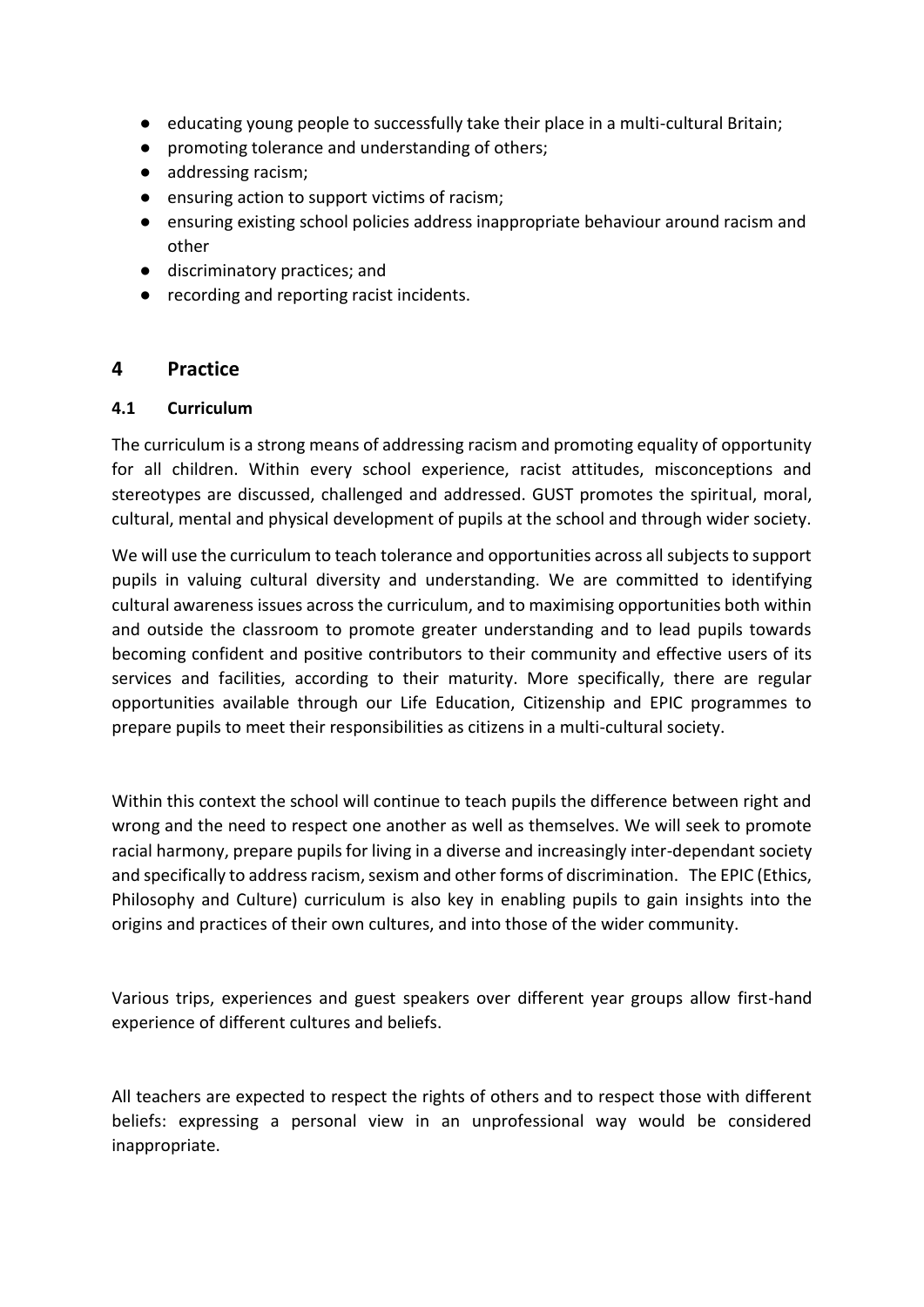- educating young people to successfully take their place in a multi-cultural Britain;
- promoting tolerance and understanding of others;
- addressing racism;
- ensuring action to support victims of racism;
- ensuring existing school policies address inappropriate behaviour around racism and other
- discriminatory practices; and
- recording and reporting racist incidents.

#### **4 Practice**

#### **4.1 Curriculum**

The curriculum is a strong means of addressing racism and promoting equality of opportunity for all children. Within every school experience, racist attitudes, misconceptions and stereotypes are discussed, challenged and addressed. GUST promotes the spiritual, moral, cultural, mental and physical development of pupils at the school and through wider society.

We will use the curriculum to teach tolerance and opportunities across all subjects to support pupils in valuing cultural diversity and understanding. We are committed to identifying cultural awareness issues across the curriculum, and to maximising opportunities both within and outside the classroom to promote greater understanding and to lead pupils towards becoming confident and positive contributors to their community and effective users of its services and facilities, according to their maturity. More specifically, there are regular opportunities available through our Life Education, Citizenship and EPIC programmes to prepare pupils to meet their responsibilities as citizens in a multi-cultural society.

Within this context the school will continue to teach pupils the difference between right and wrong and the need to respect one another as well as themselves. We will seek to promote racial harmony, prepare pupils for living in a diverse and increasingly inter-dependant society and specifically to address racism, sexism and other forms of discrimination. The EPIC (Ethics, Philosophy and Culture) curriculum is also key in enabling pupils to gain insights into the origins and practices of their own cultures, and into those of the wider community.

Various trips, experiences and guest speakers over different year groups allow first-hand experience of different cultures and beliefs.

All teachers are expected to respect the rights of others and to respect those with different beliefs: expressing a personal view in an unprofessional way would be considered inappropriate.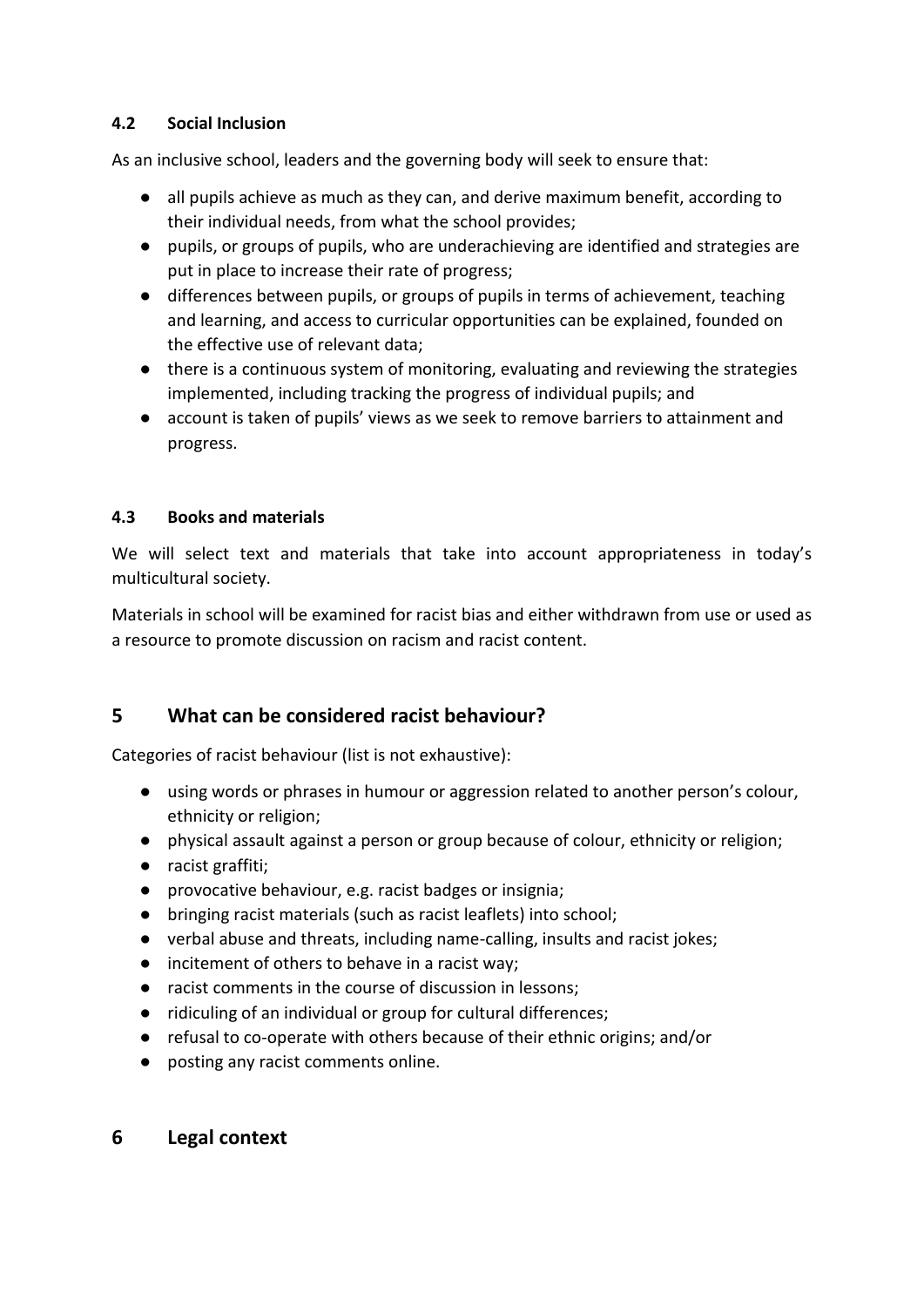#### **4.2 Social Inclusion**

As an inclusive school, leaders and the governing body will seek to ensure that:

- all pupils achieve as much as they can, and derive maximum benefit, according to their individual needs, from what the school provides;
- pupils, or groups of pupils, who are underachieving are identified and strategies are put in place to increase their rate of progress;
- differences between pupils, or groups of pupils in terms of achievement, teaching and learning, and access to curricular opportunities can be explained, founded on the effective use of relevant data;
- there is a continuous system of monitoring, evaluating and reviewing the strategies implemented, including tracking the progress of individual pupils; and
- account is taken of pupils' views as we seek to remove barriers to attainment and progress.

#### **4.3 Books and materials**

We will select text and materials that take into account appropriateness in today's multicultural society.

Materials in school will be examined for racist bias and either withdrawn from use or used as a resource to promote discussion on racism and racist content.

# **5 What can be considered racist behaviour?**

Categories of racist behaviour (list is not exhaustive):

- using words or phrases in humour or aggression related to another person's colour, ethnicity or religion;
- physical assault against a person or group because of colour, ethnicity or religion;
- racist graffiti;
- provocative behaviour, e.g. racist badges or insignia;
- bringing racist materials (such as racist leaflets) into school;
- verbal abuse and threats, including name-calling, insults and racist jokes;
- incitement of others to behave in a racist way;
- racist comments in the course of discussion in lessons;
- ridiculing of an individual or group for cultural differences;
- refusal to co-operate with others because of their ethnic origins; and/or
- posting any racist comments online.

## **6 Legal context**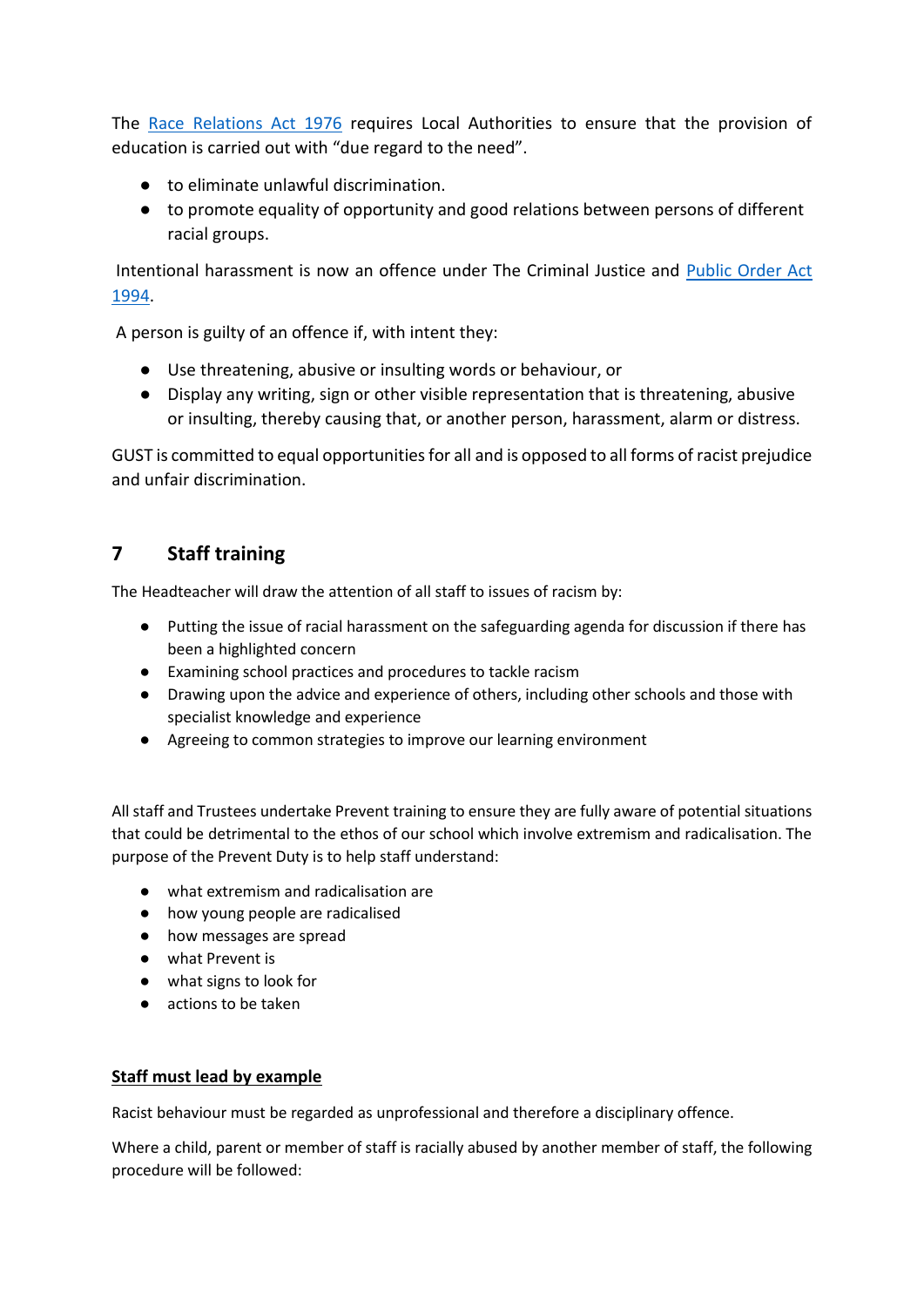The [Race Relations Act 1976](http://www.legislation.gov.uk/ukpga/1976/74/enacted) requires Local Authorities to ensure that the provision of education is carried out with "due regard to the need".

- to eliminate unlawful discrimination.
- to promote equality of opportunity and good relations between persons of different racial groups.

Intentional harassment is now an offence under The Criminal Justice and [Public Order Act](http://www.legislation.gov.uk/ukpga/1994/33/contents)  [1994.](http://www.legislation.gov.uk/ukpga/1994/33/contents)

A person is guilty of an offence if, with intent they:

- Use threatening, abusive or insulting words or behaviour, or
- Display any writing, sign or other visible representation that is threatening, abusive or insulting, thereby causing that, or another person, harassment, alarm or distress.

GUST is committed to equal opportunities for all and is opposed to all forms of racist prejudice and unfair discrimination.

# **7 Staff training**

The Headteacher will draw the attention of all staff to issues of racism by:

- Putting the issue of racial harassment on the safeguarding agenda for discussion if there has been a highlighted concern
- Examining school practices and procedures to tackle racism
- Drawing upon the advice and experience of others, including other schools and those with specialist knowledge and experience
- Agreeing to common strategies to improve our learning environment

All staff and Trustees undertake Prevent training to ensure they are fully aware of potential situations that could be detrimental to the ethos of our school which involve extremism and radicalisation. The purpose of the Prevent Duty is to help staff understand:

- what extremism and radicalisation are
- how young people are radicalised
- how messages are spread
- what Prevent is
- what signs to look for
- actions to be taken

#### **Staff must lead by example**

Racist behaviour must be regarded as unprofessional and therefore a disciplinary offence.

Where a child, parent or member of staff is racially abused by another member of staff, the following procedure will be followed: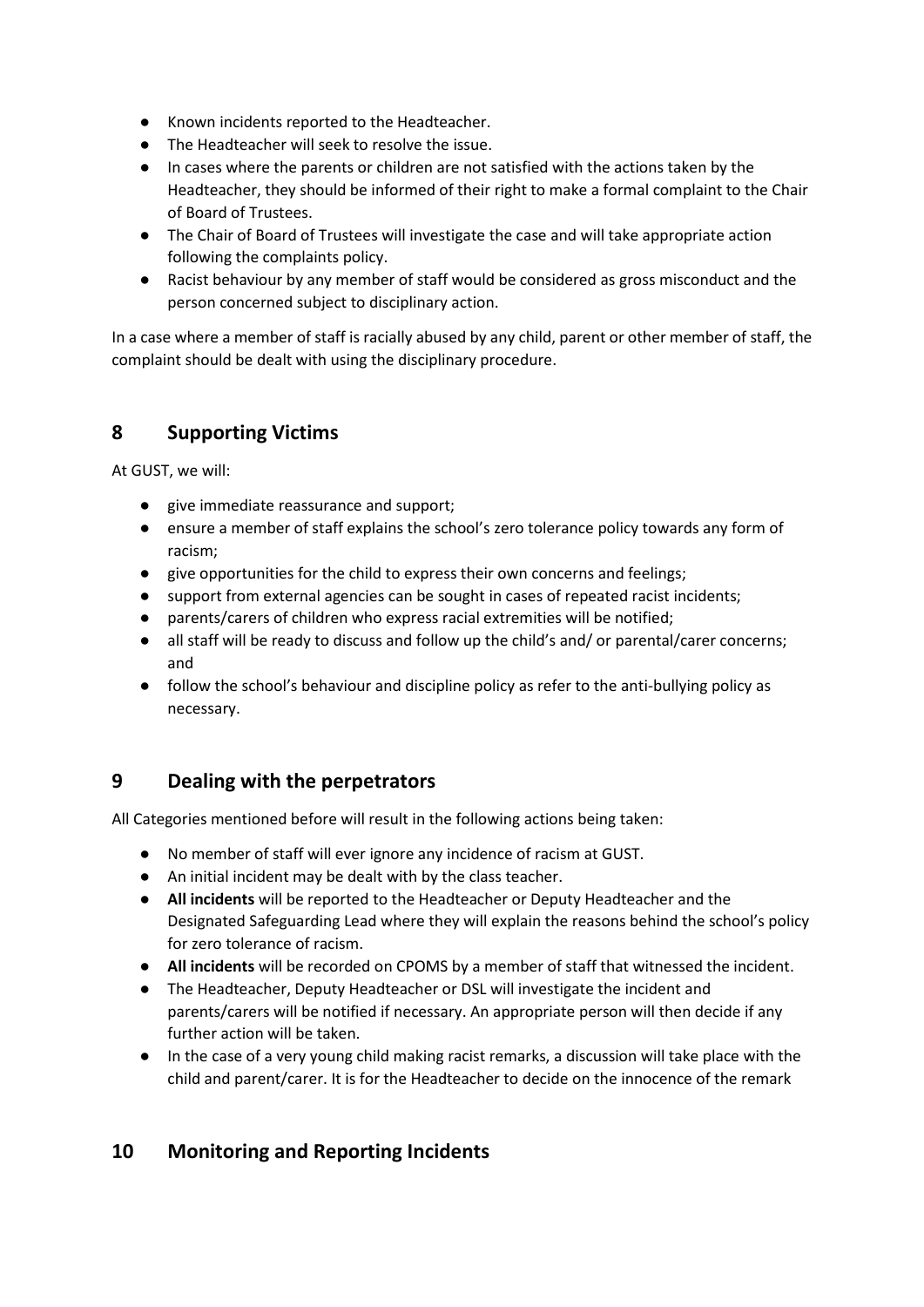- Known incidents reported to the Headteacher.
- The Headteacher will seek to resolve the issue.
- In cases where the parents or children are not satisfied with the actions taken by the Headteacher, they should be informed of their right to make a formal complaint to the Chair of Board of Trustees.
- The Chair of Board of Trustees will investigate the case and will take appropriate action following the complaints policy.
- Racist behaviour by any member of staff would be considered as gross misconduct and the person concerned subject to disciplinary action.

In a case where a member of staff is racially abused by any child, parent or other member of staff, the complaint should be dealt with using the disciplinary procedure.

## **8 Supporting Victims**

At GUST, we will:

- give immediate reassurance and support;
- ensure a member of staff explains the school's zero tolerance policy towards any form of racism;
- give opportunities for the child to express their own concerns and feelings;
- support from external agencies can be sought in cases of repeated racist incidents;
- parents/carers of children who express racial extremities will be notified;
- all staff will be ready to discuss and follow up the child's and/ or parental/carer concerns; and
- follow the school's behaviour and discipline policy as refer to the anti-bullying policy as necessary.

## **9 Dealing with the perpetrators**

All Categories mentioned before will result in the following actions being taken:

- No member of staff will ever ignore any incidence of racism at GUST.
- An initial incident may be dealt with by the class teacher.
- **All incidents** will be reported to the Headteacher or Deputy Headteacher and the Designated Safeguarding Lead where they will explain the reasons behind the school's policy for zero tolerance of racism.
- **All incidents** will be recorded on CPOMS by a member of staff that witnessed the incident.
- The Headteacher, Deputy Headteacher or DSL will investigate the incident and parents/carers will be notified if necessary. An appropriate person will then decide if any further action will be taken.
- In the case of a very young child making racist remarks, a discussion will take place with the child and parent/carer. It is for the Headteacher to decide on the innocence of the remark

## **10 Monitoring and Reporting Incidents**